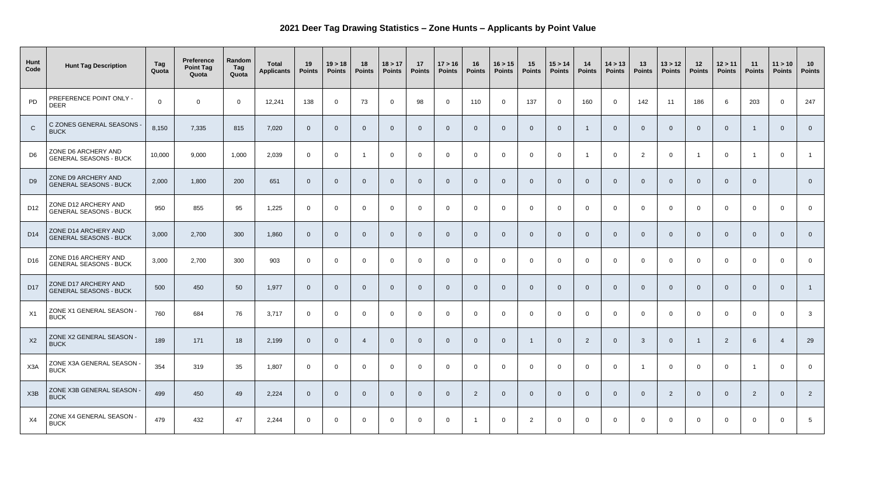## **2021 Deer Tag Drawing Statistics – Zone Hunts – Applicants by Point Value**

| Hunt<br>Code     | <b>Hunt Tag Description</b>                           | <b>Tag</b><br>Quota | <b>Preference</b><br><b>Point Tag</b><br>Quota | Random<br>Tag<br>Quota | <b>Total</b><br><b>Applicants</b> | 19<br><b>Points</b> | 19 > 18<br><b>Points</b> | 18<br><b>Points</b> | 18 > 17<br><b>Points</b> | 17<br><b>Points</b> | 17 > 16<br><b>Points</b> | 16<br><b>Points</b>     | 16 > 15<br><b>Points</b> | 15<br><b>Points</b> | 15 > 14<br><b>Points</b> | 14<br><b>Points</b> | 14 > 13<br><b>Points</b> | 13<br><b>Points</b> | 13 > 12<br><b>Points</b> | 12<br><b>Points</b> | 12 > 11<br><b>Points</b> | 11<br><b>Points</b> | 11 > 10<br><b>Points</b> | 10<br><b>Points</b> |
|------------------|-------------------------------------------------------|---------------------|------------------------------------------------|------------------------|-----------------------------------|---------------------|--------------------------|---------------------|--------------------------|---------------------|--------------------------|-------------------------|--------------------------|---------------------|--------------------------|---------------------|--------------------------|---------------------|--------------------------|---------------------|--------------------------|---------------------|--------------------------|---------------------|
| PD               | PREFERENCE POINT ONLY -<br><b>DEER</b>                | $\overline{0}$      | $\mathbf 0$                                    | $\overline{0}$         | 12,241                            | 138                 | $\overline{0}$           | 73                  | $\overline{0}$           | 98                  | $\overline{0}$           | 110                     | $\overline{0}$           | 137                 | $\overline{0}$           | 160                 | $\overline{0}$           | 142                 | 11                       | 186                 | 6                        | 203                 | $\overline{0}$           | 247                 |
| $\mathsf{C}$     | C ZONES GENERAL SEASONS -<br><b>BUCK</b>              | 8,150               | 7,335                                          | 815                    | 7,020                             | $\overline{0}$      | $\Omega$                 | $\Omega$            | $\overline{0}$           | $\overline{0}$      | $\Omega$                 | $\overline{0}$          |                          | $\overline{0}$      | $\overline{0}$           |                     | $\overline{0}$           | $\Omega$            | $\overline{0}$           | $\overline{0}$      | $\Omega$                 |                     | $\overline{0}$           | $\overline{0}$      |
| D <sub>6</sub>   | ZONE D6 ARCHERY AND<br><b>GENERAL SEASONS - BUCK</b>  | 10,000              | 9,000                                          | 1,000                  | 2,039                             | $\overline{0}$      | $\overline{0}$           |                     | $\overline{0}$           | $\overline{0}$      | $\overline{0}$           | $\overline{0}$          | $\Omega$                 | $\overline{0}$      | $\overline{0}$           |                     | $\overline{0}$           | 2                   | $\overline{0}$           |                     | $\overline{0}$           |                     | $\overline{0}$           |                     |
| D <sub>9</sub>   | ZONE D9 ARCHERY AND<br><b>GENERAL SEASONS - BUCK</b>  | 2,000               | 1,800                                          | 200                    | 651                               | $\Omega$            | $\Omega$                 | $\Omega$            | $\overline{0}$           | $\overline{0}$      | - റ                      | $\overline{0}$          |                          | $\overline{0}$      | $\overline{0}$           | $\Omega$            | $\Omega$                 | $\Omega$            | $\overline{0}$           | $\overline{0}$      | $\Omega$                 | $\overline{0}$      |                          | $\overline{0}$      |
| D <sub>12</sub>  | ZONE D12 ARCHERY AND<br><b>GENERAL SEASONS - BUCK</b> | 950                 | 855                                            | 95                     | 1,225                             | $\overline{0}$      | $\overline{0}$           | $\mathbf 0$         | $\overline{0}$           | $\overline{0}$      | $\Omega$                 | $\overline{0}$          | $\Omega$                 | $\overline{0}$      | $\overline{0}$           | - 0                 | $\overline{0}$           | $\Omega$            | $\overline{0}$           | $\overline{0}$      | $\Omega$                 | $\overline{0}$      | $\overline{0}$           | $\overline{0}$      |
| D <sub>14</sub>  | ZONE D14 ARCHERY AND<br><b>GENERAL SEASONS - BUCK</b> | 3,000               | 2,700                                          | 300                    | 1,860                             | $\Omega$            | $\Omega$                 | $\Omega$            | $\overline{0}$           | $\overline{0}$      | - റ                      | $\overline{0}$          |                          | - 0                 | $\overline{0}$           | $\Omega$            | $\Omega$                 | $\Omega$            | $\overline{0}$           | $\overline{0}$      | $\Omega$                 | $\overline{0}$      | $\overline{0}$           | $\Omega$            |
| D16              | ZONE D16 ARCHERY AND<br><b>GENERAL SEASONS - BUCK</b> | 3,000               | 2,700                                          | 300                    | 903                               | $\overline{0}$      | $\overline{0}$           | $\mathbf 0$         | $\overline{0}$           | $\overline{0}$      | $\Omega$                 | $\overline{0}$          | $\Omega$                 | $\overline{0}$      | $\overline{0}$           | - റ                 | $\overline{0}$           | $\Omega$            | $\overline{0}$           | $\overline{0}$      | $\Omega$                 | $\overline{0}$      | $\overline{0}$           | $\overline{0}$      |
| D <sub>17</sub>  | ZONE D17 ARCHERY AND<br><b>GENERAL SEASONS - BUCK</b> | 500                 | 450                                            | 50                     | 1,977                             | $\Omega$            | $\Omega$                 | $\Omega$            | 0                        | $\overline{0}$      |                          | $\overline{0}$          |                          |                     | $\overline{0}$           | - 0                 | $\overline{0}$           |                     | $\overline{0}$           | 0                   | $\Omega$                 | $\overline{0}$      | $\Omega$                 |                     |
| X1               | ZONE X1 GENERAL SEASON -<br><b>BUCK</b>               | 760                 | 684                                            | 76                     | 3,717                             | $\overline{0}$      | $\overline{0}$           | $\overline{0}$      | $\overline{0}$           | $\overline{0}$      | $\overline{0}$           | $\overline{0}$          | $\mathbf 0$              | $\overline{0}$      | $\overline{0}$           | - 0                 | $\overline{0}$           | $\overline{0}$      | $\overline{0}$           | $\overline{0}$      | $\Omega$                 | $\overline{0}$      | $\overline{0}$           | $\mathbf{3}$        |
| X2               | ZONE X2 GENERAL SEASON -<br><b>BUCK</b>               | 189                 | 171                                            | 18                     | 2,199                             | $\overline{0}$      | $\Omega$                 |                     | $\overline{0}$           | $\overline{0}$      | -0                       | $\overline{0}$          |                          |                     | $\overline{0}$           | $\overline{2}$      | $\overline{0}$           | $\mathbf{3}$        | $\overline{0}$           |                     | $\overline{2}$           | 6                   | $\overline{A}$           | 29                  |
| X <sub>3</sub> A | ZONE X3A GENERAL SEASON -<br><b>BUCK</b>              | 354                 | 319                                            | 35                     | 1,807                             | $\overline{0}$      | $\overline{0}$           | $\overline{0}$      | $\overline{0}$           | $\overline{0}$      | $\overline{0}$           | $\overline{0}$          | $\mathbf{0}$             | $\overline{0}$      | $\overline{0}$           | - 0                 | $\overline{0}$           |                     | $\overline{0}$           | $\overline{0}$      | $\overline{0}$           |                     | $\overline{0}$           | $\overline{0}$      |
| X3B              | ZONE X3B GENERAL SEASON -<br><b>BUCK</b>              | 499                 | 450                                            | 49                     | 2,224                             | $\overline{0}$      | $\Omega$                 | $\overline{0}$      | $\overline{0}$           | $\overline{0}$      | $\overline{0}$           | $\overline{2}$          |                          | $\overline{0}$      | $\overline{0}$           | $\overline{0}$      | $\overline{0}$           | $\overline{0}$      | $\overline{2}$           | $\overline{0}$      | $\Omega$                 | $\overline{2}$      | $\overline{0}$           | $\overline{2}$      |
| X4               | ZONE X4 GENERAL SEASON -<br><b>BUCK</b>               | 479                 | 432                                            | 47                     | 2,244                             | $\overline{0}$      | $\overline{0}$           | $\overline{0}$      | $\mathbf 0$              | $\overline{0}$      | $\overline{0}$           | $\overline{\mathbf{1}}$ | $\overline{0}$           | $\overline{2}$      | $\overline{0}$           | $\overline{0}$      | $\overline{0}$           | $\overline{0}$      | $\overline{0}$           | $\overline{0}$      | $\overline{0}$           | $\overline{0}$      | $\overline{0}$           | $5\phantom{.0}$     |